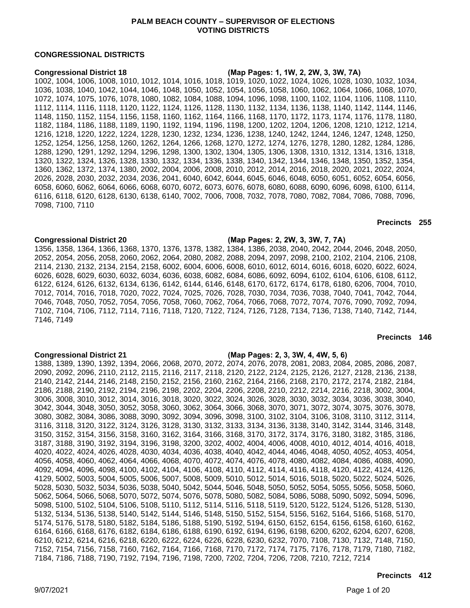# **PALM BEACH COUNTY – SUPERVISOR OF ELECTIONS VOTING DISTRICTS**

# **CONGRESSIONAL DISTRICTS**

**Congressional District 18 (Map Pages: 1, 1W, 2, 2W, 3, 3W, 7A)**

1002, 1004, 1006, 1008, 1010, 1012, 1014, 1016, 1018, 1019, 1020, 1022, 1024, 1026, 1028, 1030, 1032, 1034, 1036, 1038, 1040, 1042, 1044, 1046, 1048, 1050, 1052, 1054, 1056, 1058, 1060, 1062, 1064, 1066, 1068, 1070, 1072, 1074, 1075, 1076, 1078, 1080, 1082, 1084, 1088, 1094, 1096, 1098, 1100, 1102, 1104, 1106, 1108, 1110, 1112, 1114, 1116, 1118, 1120, 1122, 1124, 1126, 1128, 1130, 1132, 1134, 1136, 1138, 1140, 1142, 1144, 1146, 1148, 1150, 1152, 1154, 1156, 1158, 1160, 1162, 1164, 1166, 1168, 1170, 1172, 1173, 1174, 1176, 1178, 1180, 1182, 1184, 1186, 1188, 1189, 1190, 1192, 1194, 1196, 1198, 1200, 1202, 1204, 1206, 1208, 1210, 1212, 1214, 1216, 1218, 1220, 1222, 1224, 1228, 1230, 1232, 1234, 1236, 1238, 1240, 1242, 1244, 1246, 1247, 1248, 1250, 1252, 1254, 1256, 1258, 1260, 1262, 1264, 1266, 1268, 1270, 1272, 1274, 1276, 1278, 1280, 1282, 1284, 1286, 1288, 1290, 1291, 1292, 1294, 1296, 1298, 1300, 1302, 1304, 1305, 1306, 1308, 1310, 1312, 1314, 1316, 1318, 1320, 1322, 1324, 1326, 1328, 1330, 1332, 1334, 1336, 1338, 1340, 1342, 1344, 1346, 1348, 1350, 1352, 1354, 1360, 1362, 1372, 1374, 1380, 2002, 2004, 2006, 2008, 2010, 2012, 2014, 2016, 2018, 2020, 2021, 2022, 2024, 2026, 2028, 2030, 2032, 2034, 2036, 2041, 6040, 6042, 6044, 6045, 6046, 6048, 6050, 6051, 6052, 6054, 6056, 6058, 6060, 6062, 6064, 6066, 6068, 6070, 6072, 6073, 6076, 6078, 6080, 6088, 6090, 6096, 6098, 6100, 6114, 6116, 6118, 6120, 6128, 6130, 6138, 6140, 7002, 7006, 7008, 7032, 7078, 7080, 7082, 7084, 7086, 7088, 7096, 7098, 7100, 7110

**Precincts 255**

**Congressional District 20 (Map Pages: 2, 2W, 3, 3W, 7, 7A)** 1356, 1358, 1364, 1366, 1368, 1370, 1376, 1378, 1382, 1384, 1386, 2038, 2040, 2042, 2044, 2046, 2048, 2050, 2052, 2054, 2056, 2058, 2060, 2062, 2064, 2080, 2082, 2088, 2094, 2097, 2098, 2100, 2102, 2104, 2106, 2108, 2114, 2130, 2132, 2134, 2154, 2158, 6002, 6004, 6006, 6008, 6010, 6012, 6014, 6016, 6018, 6020, 6022, 6024, 6026, 6028, 6029, 6030, 6032, 6034, 6036, 6038, 6082, 6084, 6086, 6092, 6094, 6102, 6104, 6106, 6108, 6112, 6122, 6124, 6126, 6132, 6134, 6136, 6142, 6144, 6146, 6148, 6170, 6172, 6174, 6178, 6180, 6206, 7004, 7010, 7012, 7014, 7016, 7018, 7020, 7022, 7024, 7025, 7026, 7028, 7030, 7034, 7036, 7038, 7040, 7041, 7042, 7044, 7046, 7048, 7050, 7052, 7054, 7056, 7058, 7060, 7062, 7064, 7066, 7068, 7072, 7074, 7076, 7090, 7092, 7094, 7102, 7104, 7106, 7112, 7114, 7116, 7118, 7120, 7122, 7124, 7126, 7128, 7134, 7136, 7138, 7140, 7142, 7144, 7146, 7149

# **Precincts 146**

### **Congressional District 21 (Map Pages: 2, 3, 3W, 4, 4W, 5, 6)**

1388, 1389, 1390, 1392, 1394, 2066, 2068, 2070, 2072, 2074, 2076, 2078, 2081, 2083, 2084, 2085, 2086, 2087, 2090, 2092, 2096, 2110, 2112, 2115, 2116, 2117, 2118, 2120, 2122, 2124, 2125, 2126, 2127, 2128, 2136, 2138, 2140, 2142, 2144, 2146, 2148, 2150, 2152, 2156, 2160, 2162, 2164, 2166, 2168, 2170, 2172, 2174, 2182, 2184, 2186, 2188, 2190, 2192, 2194, 2196, 2198, 2202, 2204, 2206, 2208, 2210, 2212, 2214, 2216, 2218, 3002, 3004, 3006, 3008, 3010, 3012, 3014, 3016, 3018, 3020, 3022, 3024, 3026, 3028, 3030, 3032, 3034, 3036, 3038, 3040, 3042, 3044, 3048, 3050, 3052, 3058, 3060, 3062, 3064, 3066, 3068, 3070, 3071, 3072, 3074, 3075, 3076, 3078, 3080, 3082, 3084, 3086, 3088, 3090, 3092, 3094, 3096, 3098, 3100, 3102, 3104, 3106, 3108, 3110, 3112, 3114, 3116, 3118, 3120, 3122, 3124, 3126, 3128, 3130, 3132, 3133, 3134, 3136, 3138, 3140, 3142, 3144, 3146, 3148, 3150, 3152, 3154, 3156, 3158, 3160, 3162, 3164, 3166, 3168, 3170, 3172, 3174, 3176, 3180, 3182, 3185, 3186, 3187, 3188, 3190, 3192, 3194, 3196, 3198, 3200, 3202, 4002, 4004, 4006, 4008, 4010, 4012, 4014, 4016, 4018, 4020, 4022, 4024, 4026, 4028, 4030, 4034, 4036, 4038, 4040, 4042, 4044, 4046, 4048, 4050, 4052, 4053, 4054, 4056, 4058, 4060, 4062, 4064, 4066, 4068, 4070, 4072, 4074, 4076, 4078, 4080, 4082, 4084, 4086, 4088, 4090, 4092, 4094, 4096, 4098, 4100, 4102, 4104, 4106, 4108, 4110, 4112, 4114, 4116, 4118, 4120, 4122, 4124, 4126, 4129, 5002, 5003, 5004, 5005, 5006, 5007, 5008, 5009, 5010, 5012, 5014, 5016, 5018, 5020, 5022, 5024, 5026, 5028, 5030, 5032, 5034, 5036, 5038, 5040, 5042, 5044, 5046, 5048, 5050, 5052, 5054, 5055, 5056, 5058, 5060, 5062, 5064, 5066, 5068, 5070, 5072, 5074, 5076, 5078, 5080, 5082, 5084, 5086, 5088, 5090, 5092, 5094, 5096, 5098, 5100, 5102, 5104, 5106, 5108, 5110, 5112, 5114, 5116, 5118, 5119, 5120, 5122, 5124, 5126, 5128, 5130, 5132, 5134, 5136, 5138, 5140, 5142, 5144, 5146, 5148, 5150, 5152, 5154, 5156, 5162, 5164, 5166, 5168, 5170, 5174, 5176, 5178, 5180, 5182, 5184, 5186, 5188, 5190, 5192, 5194, 6150, 6152, 6154, 6156, 6158, 6160, 6162, 6164, 6166, 6168, 6176, 6182, 6184, 6186, 6188, 6190, 6192, 6194, 6196, 6198, 6200, 6202, 6204, 6207, 6208, 6210, 6212, 6214, 6216, 6218, 6220, 6222, 6224, 6226, 6228, 6230, 6232, 7070, 7108, 7130, 7132, 7148, 7150, 7152, 7154, 7156, 7158, 7160, 7162, 7164, 7166, 7168, 7170, 7172, 7174, 7175, 7176, 7178, 7179, 7180, 7182, 7184, 7186, 7188, 7190, 7192, 7194, 7196, 7198, 7200, 7202, 7204, 7206, 7208, 7210, 7212, 7214

### **Precincts 412**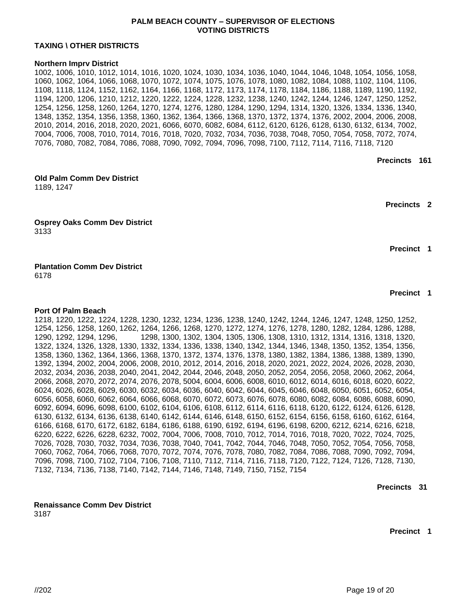# **PALM BEACH COUNTY – SUPERVISOR OF ELECTIONS VOTING DISTRICTS**

# **TAXING \ OTHER DISTRICTS**

**Northern Imprv District (Map Pages: 1, !W, 2, 2W, 3, 3W, 7A)** 1002, 1006, 1010, 1012, 1014, 1016, 1020, 1024, 1030, 1034, 1036, 1040, 1044, 1046, 1048, 1054, 1056, 1058, 1060, 1062, 1064, 1066, 1068, 1070, 1072, 1074, 1075, 1076, 1078, 1080, 1082, 1084, 1088, 1102, 1104, 1106, 1108, 1118, 1124, 1152, 1162, 1164, 1166, 1168, 1172, 1173, 1174, 1178, 1184, 1186, 1188, 1189, 1190, 1192, 1194, 1200, 1206, 1210, 1212, 1220, 1222, 1224, 1228, 1232, 1238, 1240, 1242, 1244, 1246, 1247, 1250, 1252, 1254, 1256, 1258, 1260, 1264, 1270, 1274, 1276, 1280, 1284, 1290, 1294, 1314, 1320, 1326, 1334, 1336, 1340, 1348, 1352, 1354, 1356, 1358, 1360, 1362, 1364, 1366, 1368, 1370, 1372, 1374, 1376, 2002, 2004, 2006, 2008, 2010, 2014, 2016, 2018, 2020, 2021, 6066, 6070, 6082, 6084, 6112, 6120, 6126, 6128, 6130, 6132, 6134, 7002, 7004, 7006, 7008, 7010, 7014, 7016, 7018, 7020, 7032, 7034, 7036, 7038, 7048, 7050, 7054, 7058, 7072, 7074, 7076, 7080, 7082, 7084, 7086, 7088, 7090, 7092, 7094, 7096, 7098, 7100, 7112, 7114, 7116, 7118, 7120

**Precincts 161**

| <b>Old Palm Comm Dev District</b><br>1189, 1247 | (Map Pages: 1, 2) |                    |  |
|-------------------------------------------------|-------------------|--------------------|--|
|                                                 |                   | <b>Precincts 2</b> |  |
| <b>Osprey Oaks Comm Dev District</b><br>3133    | (Map Page: 4)     |                    |  |
|                                                 |                   | <b>Precinct 1</b>  |  |
| <b>Plantation Comm Dev District</b><br>6178     | (Map Page: 3)     |                    |  |

**Precinct 1**

**Port Of Palm Beach (Map Pages: 1W, 2, 2W, 3, 3W, 4, 4W, 5, 7, 7A)** 1218, 1220, 1222, 1224, 1228, 1230, 1232, 1234, 1236, 1238, 1240, 1242, 1244, 1246, 1247, 1248, 1250, 1252, 1254, 1256, 1258, 1260, 1262, 1264, 1266, 1268, 1270, 1272, 1274, 1276, 1278, 1280, 1282, 1284, 1286, 1288, 1290, 1292, 1294, 1296, 1298, 1300, 1302, 1304, 1305, 1306, 1308, 1310, 1312, 1314, 1316, 1318, 1320, 1322, 1324, 1326, 1328, 1330, 1332, 1334, 1336, 1338, 1340, 1342, 1344, 1346, 1348, 1350, 1352, 1354, 1356, 1358, 1360, 1362, 1364, 1366, 1368, 1370, 1372, 1374, 1376, 1378, 1380, 1382, 1384, 1386, 1388, 1389, 1390, 1392, 1394, 2002, 2004, 2006, 2008, 2010, 2012, 2014, 2016, 2018, 2020, 2021, 2022, 2024, 2026, 2028, 2030, 2032, 2034, 2036, 2038, 2040, 2041, 2042, 2044, 2046, 2048, 2050, 2052, 2054, 2056, 2058, 2060, 2062, 2064, 2066, 2068, 2070, 2072, 2074, 2076, 2078, 5004, 6004, 6006, 6008, 6010, 6012, 6014, 6016, 6018, 6020, 6022, 6024, 6026, 6028, 6029, 6030, 6032, 6034, 6036, 6040, 6042, 6044, 6045, 6046, 6048, 6050, 6051, 6052, 6054, 6056, 6058, 6060, 6062, 6064, 6066, 6068, 6070, 6072, 6073, 6076, 6078, 6080, 6082, 6084, 6086, 6088, 6090, 6092, 6094, 6096, 6098, 6100, 6102, 6104, 6106, 6108, 6112, 6114, 6116, 6118, 6120, 6122, 6124, 6126, 6128, 6130, 6132, 6134, 6136, 6138, 6140, 6142, 6144, 6146, 6148, 6150, 6152, 6154, 6156, 6158, 6160, 6162, 6164, 6166, 6168, 6170, 6172, 6182, 6184, 6186, 6188, 6190, 6192, 6194, 6196, 6198, 6200, 6212, 6214, 6216, 6218, 6220, 6222, 6226, 6228, 6232, 7002, 7004, 7006, 7008, 7010, 7012, 7014, 7016, 7018, 7020, 7022, 7024, 7025, 7026, 7028, 7030, 7032, 7034, 7036, 7038, 7040, 7041, 7042, 7044, 7046, 7048, 7050, 7052, 7054, 7056, 7058, 7060, 7062, 7064, 7066, 7068, 7070, 7072, 7074, 7076, 7078, 7080, 7082, 7084, 7086, 7088, 7090, 7092, 7094, 7096, 7098, 7100, 7102, 7104, 7106, 7108, 7110, 7112, 7114, 7116, 7118, 7120, 7122, 7124, 7126, 7128, 7130, 7132, 7134, 7136, 7138, 7140, 7142, 7144, 7146, 7148, 7149, 7150, 7152, 7154

**Precincts 319**

**Renaissance Comm Dev District (Map Page: 4)**

3187

**Precinct 1**